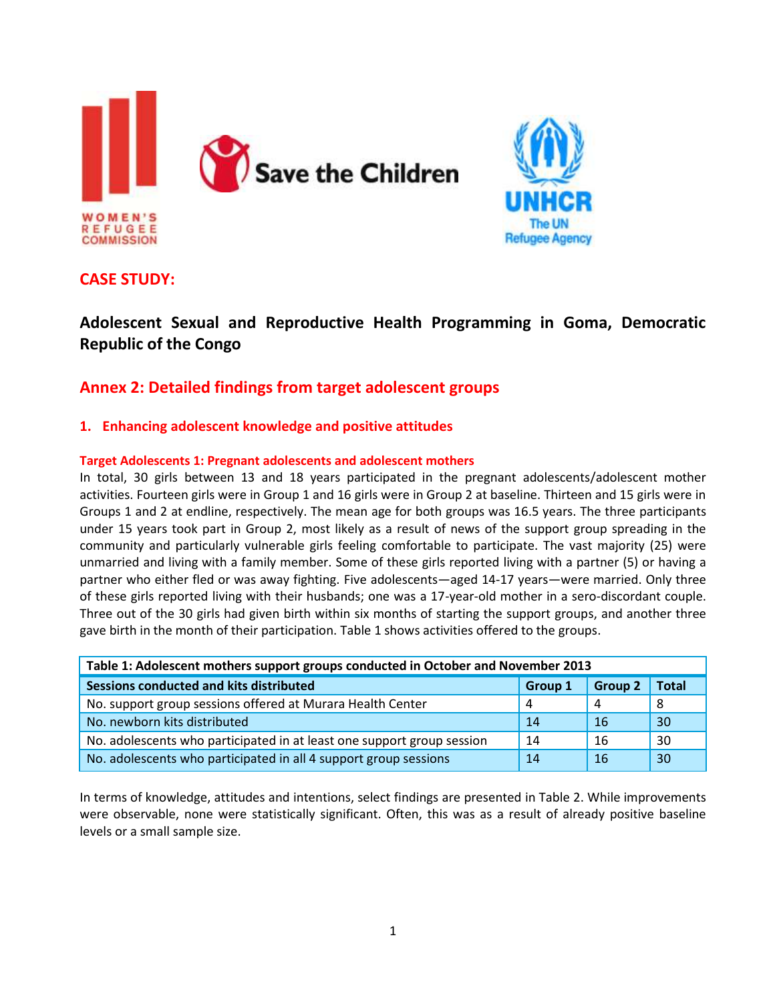



## **CASE STUDY:**

# **Adolescent Sexual and Reproductive Health Programming in Goma, Democratic Republic of the Congo**

## **Annex 2: Detailed findings from target adolescent groups**

### **1. Enhancing adolescent knowledge and positive attitudes**

### **Target Adolescents 1: Pregnant adolescents and adolescent mothers**

In total, 30 girls between 13 and 18 years participated in the pregnant adolescents/adolescent mother activities. Fourteen girls were in Group 1 and 16 girls were in Group 2 at baseline. Thirteen and 15 girls were in Groups 1 and 2 at endline, respectively. The mean age for both groups was 16.5 years. The three participants under 15 years took part in Group 2, most likely as a result of news of the support group spreading in the community and particularly vulnerable girls feeling comfortable to participate. The vast majority (25) were unmarried and living with a family member. Some of these girls reported living with a partner (5) or having a partner who either fled or was away fighting. Five adolescents—aged 14-17 years—were married. Only three of these girls reported living with their husbands; one was a 17-year-old mother in a sero-discordant couple. Three out of the 30 girls had given birth within six months of starting the support groups, and another three gave birth in the month of their participation. Table 1 shows activities offered to the groups.

| Table 1: Adolescent mothers support groups conducted in October and November 2013 |                |                |              |  |
|-----------------------------------------------------------------------------------|----------------|----------------|--------------|--|
| Sessions conducted and kits distributed                                           | <b>Group 1</b> | <b>Group 2</b> | <b>Total</b> |  |
| No. support group sessions offered at Murara Health Center                        | 4              | 4              | 8            |  |
| No. newborn kits distributed                                                      | 14             | 16             | 30           |  |
| No. adolescents who participated in at least one support group session            | 14             | 16             | 30           |  |
| No. adolescents who participated in all 4 support group sessions                  | 14             | 16             | 30           |  |

In terms of knowledge, attitudes and intentions, select findings are presented in Table 2. While improvements were observable, none were statistically significant. Often, this was as a result of already positive baseline levels or a small sample size.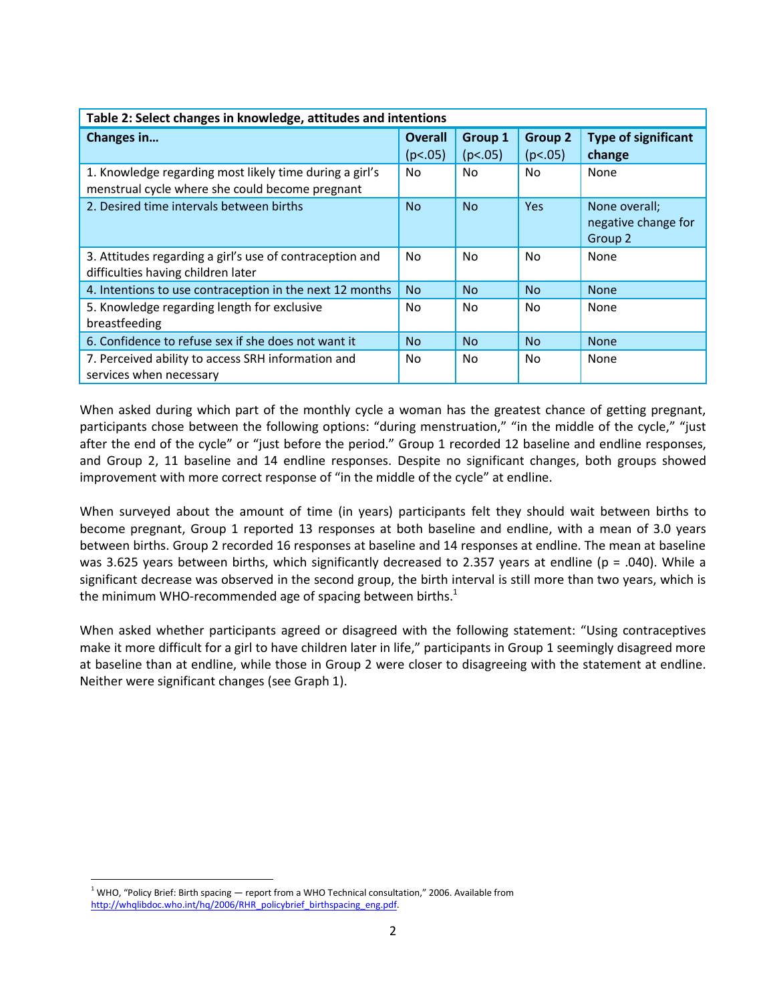| Table 2: Select changes in knowledge, attitudes and intentions                                             |                           |                           |                           |                                                 |
|------------------------------------------------------------------------------------------------------------|---------------------------|---------------------------|---------------------------|-------------------------------------------------|
| Changes in                                                                                                 | <b>Overall</b><br>(p<.05) | <b>Group 1</b><br>(p<.05) | <b>Group 2</b><br>(p<.05) | <b>Type of significant</b><br>change            |
| 1. Knowledge regarding most likely time during a girl's<br>menstrual cycle where she could become pregnant | No.                       | No                        | N <sub>o</sub>            | None                                            |
| 2. Desired time intervals between births                                                                   | <b>No</b>                 | <b>No</b>                 | Yes                       | None overall;<br>negative change for<br>Group 2 |
| 3. Attitudes regarding a girl's use of contraception and<br>difficulties having children later             | No.                       | No                        | N <sub>o</sub>            | None                                            |
| 4. Intentions to use contraception in the next 12 months                                                   | <b>No</b>                 | No.                       | <b>No</b>                 | <b>None</b>                                     |
| 5. Knowledge regarding length for exclusive<br>breastfeeding                                               | No.                       | No                        | No.                       | None                                            |
| 6. Confidence to refuse sex if she does not want it                                                        | <b>No</b>                 | <b>No</b>                 | <b>No</b>                 | <b>None</b>                                     |
| 7. Perceived ability to access SRH information and<br>services when necessary                              | No.                       | No                        | No.                       | None                                            |

When asked during which part of the monthly cycle a woman has the greatest chance of getting pregnant, participants chose between the following options: "during menstruation," "in the middle of the cycle," "just after the end of the cycle" or "just before the period." Group 1 recorded 12 baseline and endline responses, and Group 2, 11 baseline and 14 endline responses. Despite no significant changes, both groups showed improvement with more correct response of "in the middle of the cycle" at endline.

When surveyed about the amount of time (in years) participants felt they should wait between births to become pregnant, Group 1 reported 13 responses at both baseline and endline, with a mean of 3.0 years between births. Group 2 recorded 16 responses at baseline and 14 responses at endline. The mean at baseline was 3.625 years between births, which significantly decreased to 2.357 years at endline (p = .040). While a significant decrease was observed in the second group, the birth interval is still more than two years, which is the minimum WHO-recommended age of spacing between births.<sup>1</sup>

When asked whether participants agreed or disagreed with the following statement: "Using contraceptives make it more difficult for a girl to have children later in life," participants in Group 1 seemingly disagreed more at baseline than at endline, while those in Group 2 were closer to disagreeing with the statement at endline. Neither were significant changes (see Graph 1).

 $\overline{a}$  $1$  WHO, "Policy Brief: Birth spacing  $-$  report from a WHO Technical consultation," 2006. Available from **Agree** [http://whqlibdoc.who.int/hq/2006/RHR\\_policybrief\\_birthspacing\\_eng.pdf.](http://whqlibdoc.who.int/hq/2006/RHR_policybrief_birthspacing_eng.pdf)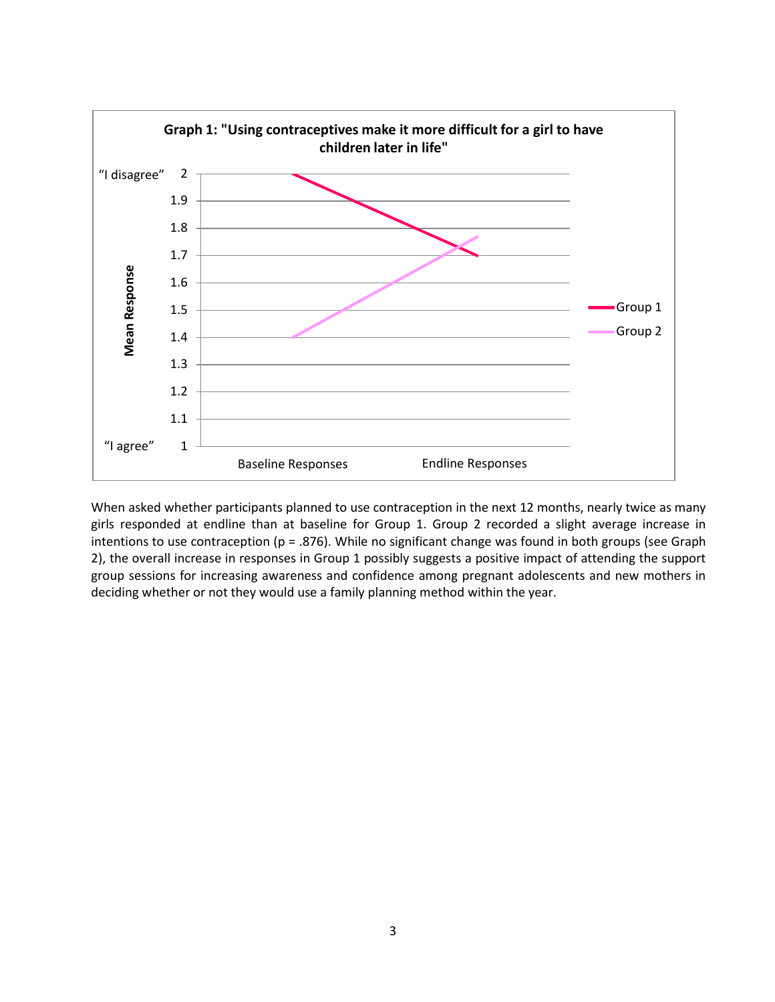

When asked whether participants planned to use contraception in the next 12 months, nearly twice as many girls responded at endline than at baseline for Group 1. Group 2 recorded a slight average increase in intentions to use contraception (p = .876). While no significant change was found in both groups (see Graph 2), the overall increase in responses in Group 1 possibly suggests a positive impact of attending the support group sessions for increasing awareness and confidence among pregnant adolescents and new mothers in deciding whether or not they would use a family planning method within the year.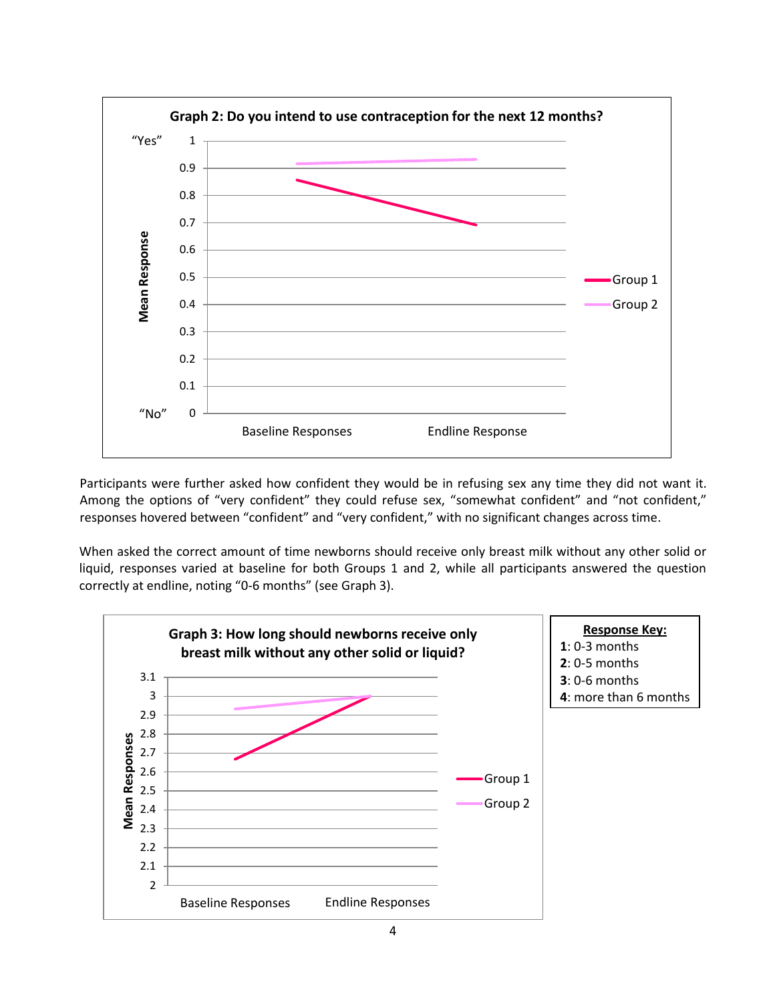

Participants were further asked how confident they would be in refusing sex any time they did not want it. Among the options of "very confident" they could refuse sex, "somewhat confident" and "not confident," responses hovered between "confident" and "very confident," with no significant changes across time.

When asked the correct amount of time newborns should receive only breast milk without any other solid or liquid, responses varied at baseline for both Groups 1 and 2, while all participants answered the question correctly at endline, noting "0-6 months" (see Graph 3).

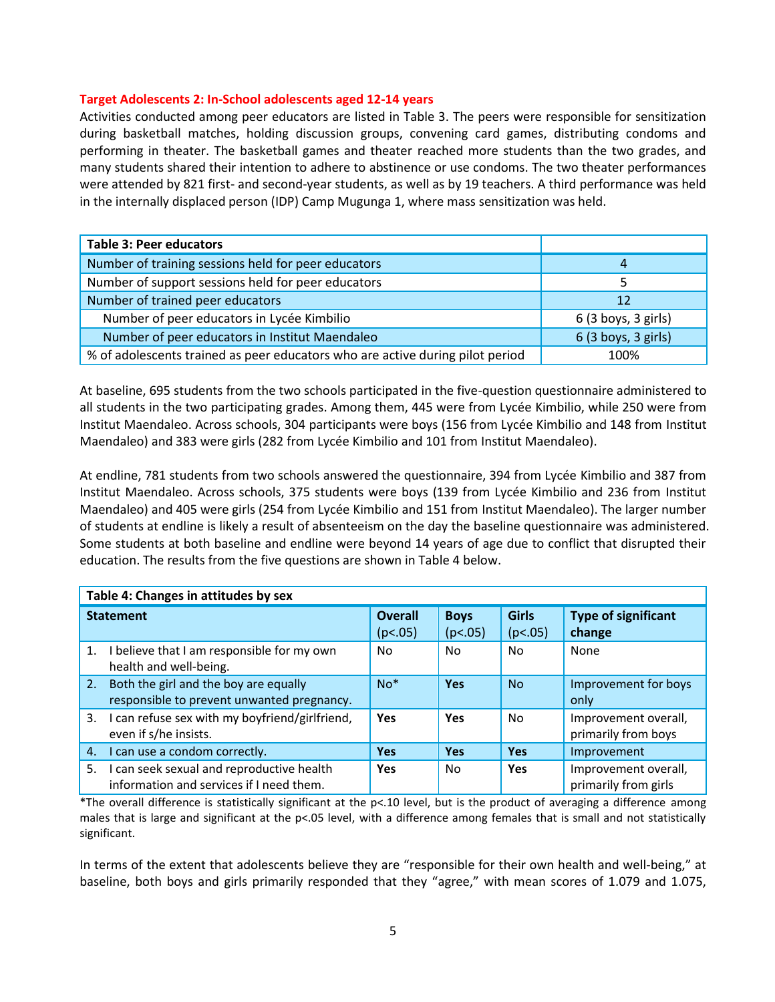#### **Target Adolescents 2: In-School adolescents aged 12-14 years**

Activities conducted among peer educators are listed in Table 3. The peers were responsible for sensitization during basketball matches, holding discussion groups, convening card games, distributing condoms and performing in theater. The basketball games and theater reached more students than the two grades, and many students shared their intention to adhere to abstinence or use condoms. The two theater performances were attended by 821 first- and second-year students, as well as by 19 teachers. A third performance was held in the internally displaced person (IDP) Camp Mugunga 1, where mass sensitization was held.

| <b>Table 3: Peer educators</b>                                                |                     |
|-------------------------------------------------------------------------------|---------------------|
| Number of training sessions held for peer educators                           | 4                   |
| Number of support sessions held for peer educators                            |                     |
| Number of trained peer educators                                              | 12                  |
| Number of peer educators in Lycée Kimbilio                                    | 6(3 boys, 3 girls)  |
| Number of peer educators in Institut Maendaleo                                | 6 (3 boys, 3 girls) |
| % of adolescents trained as peer educators who are active during pilot period | 100%                |

At baseline, 695 students from the two schools participated in the five-question questionnaire administered to all students in the two participating grades. Among them, 445 were from Lycée Kimbilio, while 250 were from Institut Maendaleo. Across schools, 304 participants were boys (156 from Lycée Kimbilio and 148 from Institut Maendaleo) and 383 were girls (282 from Lycée Kimbilio and 101 from Institut Maendaleo).

At endline, 781 students from two schools answered the questionnaire, 394 from Lycée Kimbilio and 387 from Institut Maendaleo. Across schools, 375 students were boys (139 from Lycée Kimbilio and 236 from Institut Maendaleo) and 405 were girls (254 from Lycée Kimbilio and 151 from Institut Maendaleo). The larger number of students at endline is likely a result of absenteeism on the day the baseline questionnaire was administered. Some students at both baseline and endline were beyond 14 years of age due to conflict that disrupted their education. The results from the five questions are shown in Table 4 below.

| Table 4: Changes in attitudes by sex |                                                                                       |                           |                        |                         |                                              |
|--------------------------------------|---------------------------------------------------------------------------------------|---------------------------|------------------------|-------------------------|----------------------------------------------|
| <b>Statement</b>                     |                                                                                       | <b>Overall</b><br>(p<.05) | <b>Boys</b><br>(p<.05) | <b>Girls</b><br>(p<.05) | <b>Type of significant</b><br>change         |
| 1.                                   | I believe that I am responsible for my own<br>health and well-being.                  | No.                       | No                     | No                      | None                                         |
| 2.                                   | Both the girl and the boy are equally<br>responsible to prevent unwanted pregnancy.   | $No*$                     | Yes                    | <b>No</b>               | Improvement for boys<br>only                 |
| 3.                                   | I can refuse sex with my boyfriend/girlfriend,<br>even if s/he insists.               | Yes                       | Yes                    | No                      | Improvement overall,<br>primarily from boys  |
| 4.                                   | I can use a condom correctly.                                                         | <b>Yes</b>                | <b>Yes</b>             | <b>Yes</b>              | Improvement                                  |
| 5.                                   | I can seek sexual and reproductive health<br>information and services if I need them. | <b>Yes</b>                | No.                    | <b>Yes</b>              | Improvement overall,<br>primarily from girls |

\*The overall difference is statistically significant at the  $p<10$  level, but is the product of averaging a difference among males that is large and significant at the p<.05 level, with a difference among females that is small and not statistically significant.

In terms of the extent that adolescents believe they are "responsible for their own health and well-being," at baseline, both boys and girls primarily responded that they "agree," with mean scores of 1.079 and 1.075,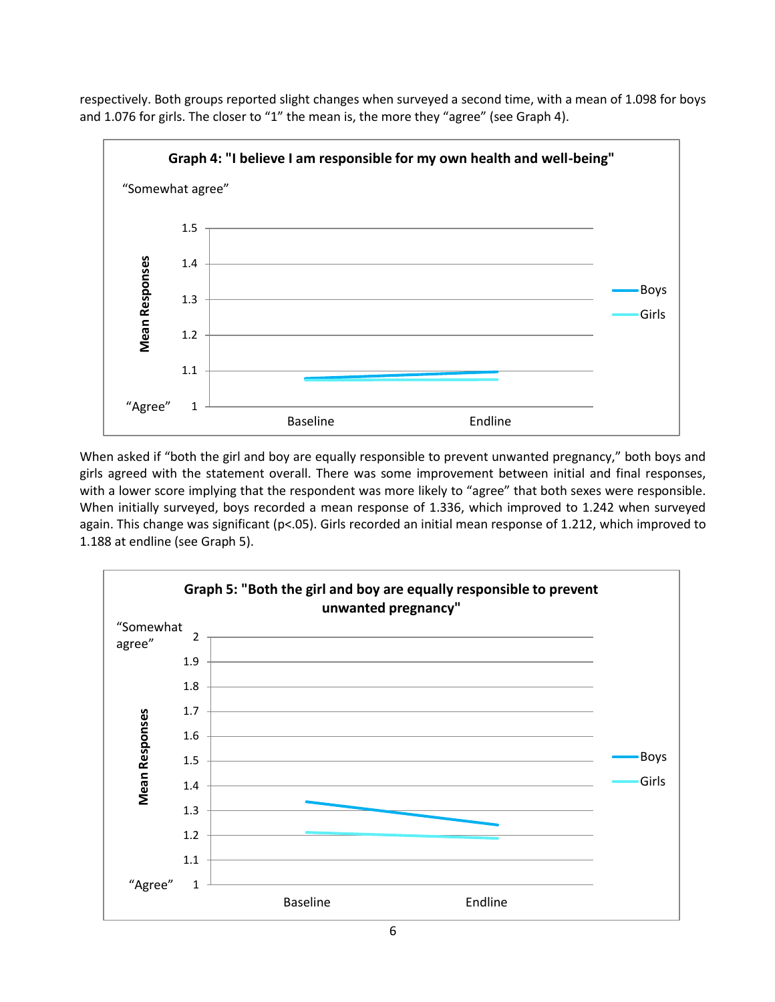respectively. Both groups reported slight changes when surveyed a second time, with a mean of 1.098 for boys and 1.076 for girls. The closer to "1" the mean is, the more they "agree" (see Graph 4).



When asked if "both the girl and boy are equally responsible to prevent unwanted pregnancy," both boys and girls agreed with the statement overall. There was some improvement between initial and final responses, with a lower score implying that the respondent was more likely to "agree" that both sexes were responsible. When initially surveyed, boys recorded a mean response of 1.336, which improved to 1.242 when surveyed again. This change was significant ( $p$ <.05). Girls recorded an initial mean response of 1.212, which improved to 1.188 at endline (see Graph 5).

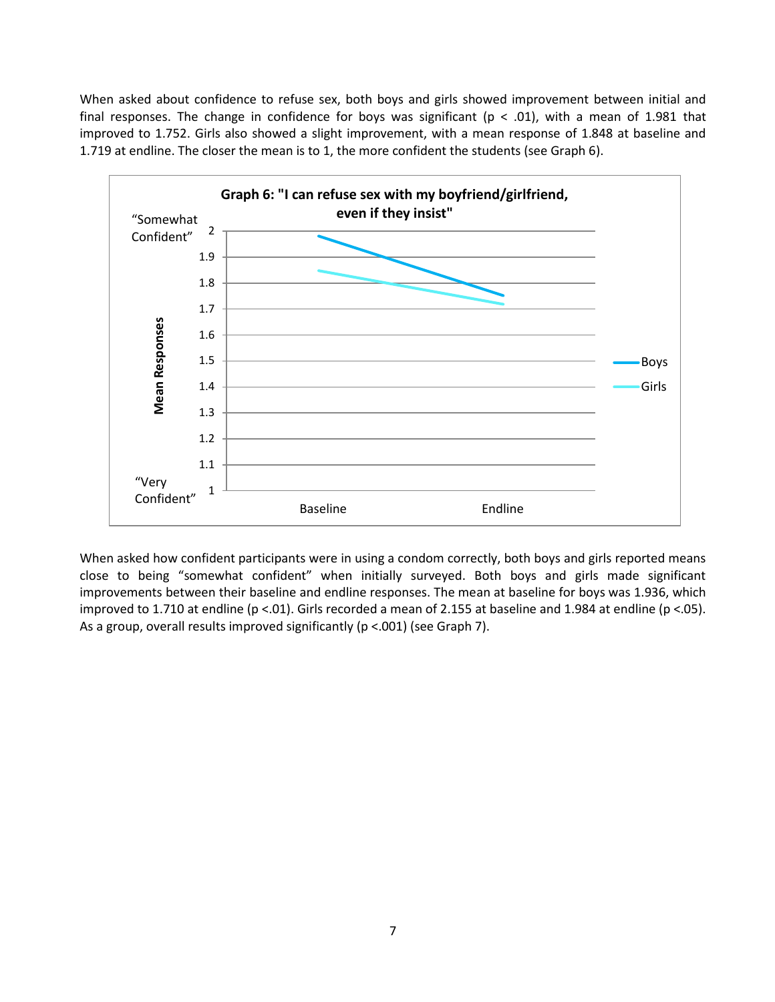When asked about confidence to refuse sex, both boys and girls showed improvement between initial and final responses. The change in confidence for boys was significant ( $p < .01$ ), with a mean of 1.981 that improved to 1.752. Girls also showed a slight improvement, with a mean response of 1.848 at baseline and 1.719 at endline. The closer the mean is to 1, the more confident the students (see Graph 6).



When asked how confident participants were in using a condom correctly, both boys and girls reported means close to being "somewhat confident" when initially surveyed. Both boys and girls made significant improvements between their baseline and endline responses. The mean at baseline for boys was 1.936, which improved to 1.710 at endline (p <.01). Girls recorded a mean of 2.155 at baseline and 1.984 at endline (p <.05). As a group, overall results improved significantly (p <.001) (see Graph 7).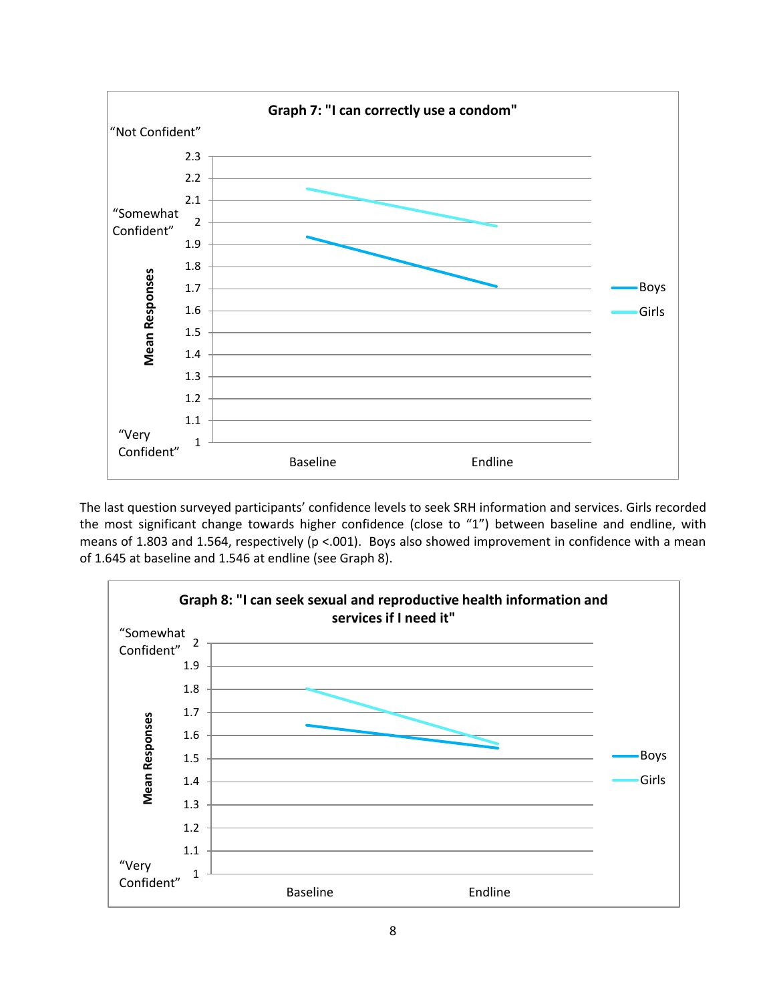

The last question surveyed participants' confidence levels to seek SRH information and services. Girls recorded the most significant change towards higher confidence (close to "1") between baseline and endline, with means of 1.803 and 1.564, respectively (p <.001). Boys also showed improvement in confidence with a mean of 1.645 at baseline and 1.546 at endline (see Graph 8).

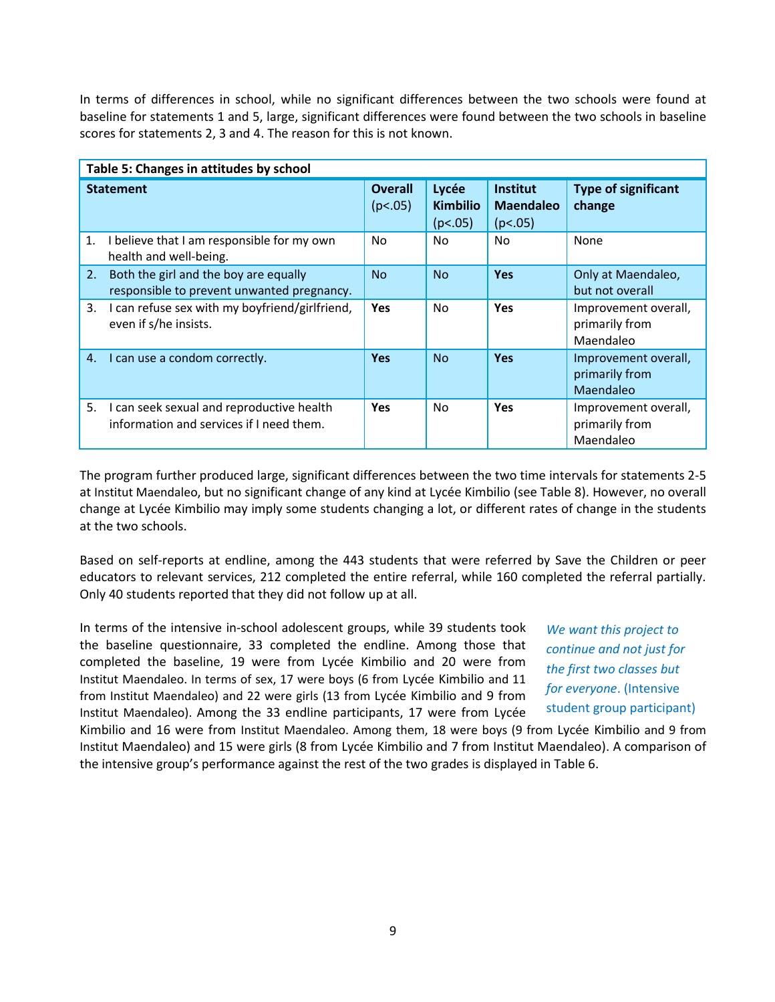In terms of differences in school, while no significant differences between the two schools were found at baseline for statements 1 and 5, large, significant differences were found between the two schools in baseline scores for statements 2, 3 and 4. The reason for this is not known.

| Table 5: Changes in attitudes by school |                                                                                       |                           |                                     |                                                |                                                     |
|-----------------------------------------|---------------------------------------------------------------------------------------|---------------------------|-------------------------------------|------------------------------------------------|-----------------------------------------------------|
|                                         | <b>Statement</b>                                                                      | <b>Overall</b><br>(p<.05) | Lycée<br><b>Kimbilio</b><br>(p<.05) | <b>Institut</b><br><b>Maendaleo</b><br>(p<.05) | <b>Type of significant</b><br>change                |
| 1.                                      | I believe that I am responsible for my own<br>health and well-being.                  | No                        | N <sub>o</sub>                      | No                                             | None                                                |
| 2.                                      | Both the girl and the boy are equally<br>responsible to prevent unwanted pregnancy.   | <b>No</b>                 | <b>No</b>                           | Yes                                            | Only at Maendaleo,<br>but not overall               |
| 3.                                      | I can refuse sex with my boyfriend/girlfriend,<br>even if s/he insists.               | <b>Yes</b>                | No.                                 | Yes                                            | Improvement overall,<br>primarily from<br>Maendaleo |
| 4.                                      | I can use a condom correctly.                                                         | <b>Yes</b>                | <b>No</b>                           | Yes                                            | Improvement overall,<br>primarily from<br>Maendaleo |
| 5.                                      | I can seek sexual and reproductive health<br>information and services if I need them. | <b>Yes</b>                | No.                                 | Yes                                            | Improvement overall,<br>primarily from<br>Maendaleo |

The program further produced large, significant differences between the two time intervals for statements 2-5 at Institut Maendaleo, but no significant change of any kind at Lycée Kimbilio (see Table 8). However, no overall change at Lycée Kimbilio may imply some students changing a lot, or different rates of change in the students at the two schools.

Based on self-reports at endline, among the 443 students that were referred by Save the Children or peer educators to relevant services, 212 completed the entire referral, while 160 completed the referral partially. Only 40 students reported that they did not follow up at all.

In terms of the intensive in-school adolescent groups, while 39 students took the baseline questionnaire, 33 completed the endline. Among those that completed the baseline, 19 were from Lycée Kimbilio and 20 were from Institut Maendaleo. In terms of sex, 17 were boys (6 from Lycée Kimbilio and 11 from Institut Maendaleo) and 22 were girls (13 from Lycée Kimbilio and 9 from Institut Maendaleo). Among the 33 endline participants, 17 were from Lycée

*We want this project to continue and not just for the first two classes but for everyone*. (Intensive student group participant)

Kimbilio and 16 were from Institut Maendaleo. Among them, 18 were boys (9 from Lycée Kimbilio and 9 from Institut Maendaleo) and 15 were girls (8 from Lycée Kimbilio and 7 from Institut Maendaleo). A comparison of the intensive group's performance against the rest of the two grades is displayed in Table 6.